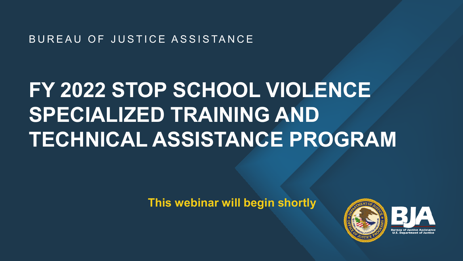BUREAU OF JUSTICE ASSISTANCE

# **FY 2022 STOP SCHOOL VIOLENCE SPECIALIZED TRAINING AND TECHNICAL ASSISTANCE PROGRAM**

**This webinar will begin shortly**



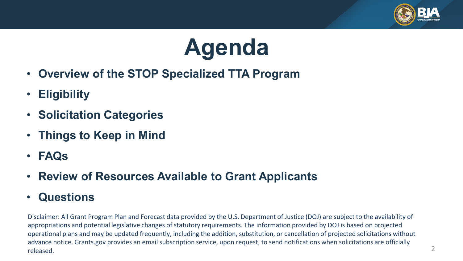



- **Overview of the STOP Specialized TTA Program**
- **Eligibility**
- **Solicitation Categories**
- **Things to Keep in Mind**
- **FAQs**
- **Review of Resources Available to Grant Applicants**
- **Questions**

Disclaimer: All Grant Program Plan and Forecast data provided by the U.S. Department of Justice (DOJ) are subject to the availability of appropriations and potential legislative changes of statutory requirements. The information provided by DOJ is based on projected operational plans and may be updated frequently, including the addition, substitution, or cancellation of projected solicitations without advance notice. Grants.gov provides an email subscription service, upon request, to send notifications when solicitations are officially released.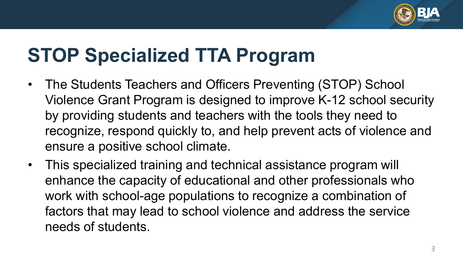

## **STOP Specialized TTA Program**

- The Students Teachers and Officers Preventing (STOP) School Violence Grant Program is designed to improve K-12 school security by providing students and teachers with the tools they need to recognize, respond quickly to, and help prevent acts of violence and ensure a positive school climate.
- This specialized training and technical assistance program will enhance the capacity of educational and other professionals who work with school-age populations to recognize a combination of factors that may lead to school violence and address the service needs of students.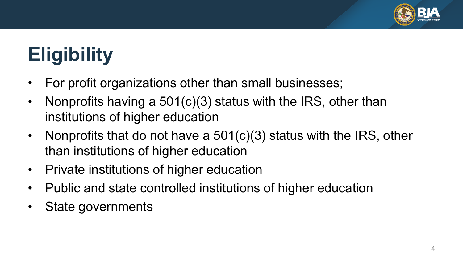

# **Eligibility**

- For profit organizations other than small businesses;
- Nonprofits having a 501(c)(3) status with the IRS, other than institutions of higher education
- Nonprofits that do not have a 501(c)(3) status with the IRS, other than institutions of higher education
- Private institutions of higher education
- Public and state controlled institutions of higher education
- State governments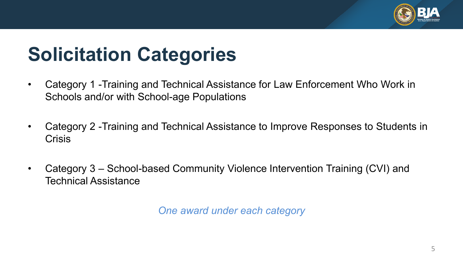

# **Solicitation Categories**

- Category 1 -Training and Technical Assistance for Law Enforcement Who Work in Schools and/or with School-age Populations
- Category 2 -Training and Technical Assistance to Improve Responses to Students in **Crisis**
- Category 3 School-based Community Violence Intervention Training (CVI) and Technical Assistance

*One award under each category*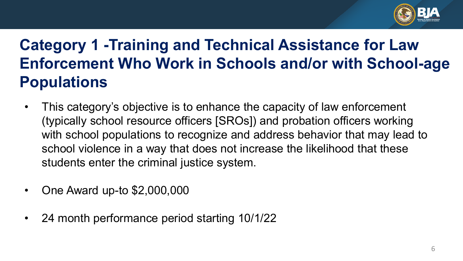

### **Category 1 -Training and Technical Assistance for Law Enforcement Who Work in Schools and/or with School-age Populations**

- This category's objective is to enhance the capacity of law enforcement (typically school resource officers [SROs]) and probation officers working with school populations to recognize and address behavior that may lead to school violence in a way that does not increase the likelihood that these students enter the criminal justice system.
- One Award up-to \$2,000,000
- 24 month performance period starting 10/1/22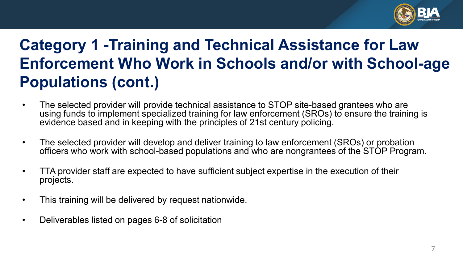

### **Category 1 -Training and Technical Assistance for Law Enforcement Who Work in Schools and/or with School-age Populations (cont.)**

- The selected provider will provide technical assistance to STOP site-based grantees who are using funds to implement specialized training for law enforcement (SROs) to ensure the training is evidence based and in keeping with the principles of 21st century policing.
- The selected provider will develop and deliver training to law enforcement (SROs) or probation officers who work with school-based populations and who are nongrantees of the STOP Program.
- TTA provider staff are expected to have sufficient subject expertise in the execution of their projects.
- This training will be delivered by request nationwide.
- Deliverables listed on pages 6-8 of solicitation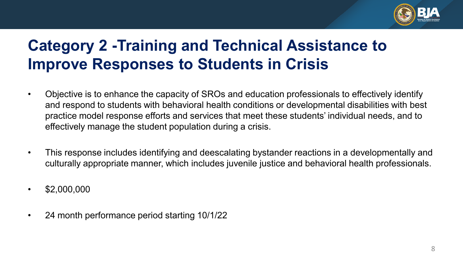

### **Category 2 -Training and Technical Assistance to Improve Responses to Students in Crisis**

- Objective is to enhance the capacity of SROs and education professionals to effectively identify and respond to students with behavioral health conditions or developmental disabilities with best practice model response efforts and services that meet these students' individual needs, and to effectively manage the student population during a crisis.
- This response includes identifying and deescalating bystander reactions in a developmentally and culturally appropriate manner, which includes juvenile justice and behavioral health professionals.
- $\cdot$  \$2,000,000
- 24 month performance period starting 10/1/22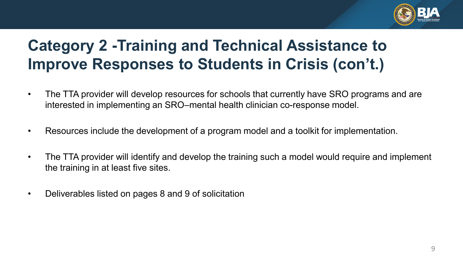

### **Category 2 -Training and Technical Assistance to Improve Responses to Students in Crisis (con't.)**

- The TTA provider will develop resources for schools that currently have SRO programs and are interested in implementing an SRO–mental health clinician co-response model.
- Resources include the development of a program model and a toolkit for implementation.
- The TTA provider will identify and develop the training such a model would require and implement the training in at least five sites.
- Deliverables listed on pages 8 and 9 of solicitation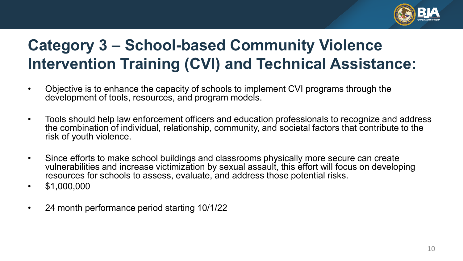

### **Category 3 – School-based Community Violence Intervention Training (CVI) and Technical Assistance:**

- Objective is to enhance the capacity of schools to implement CVI programs through the development of tools, resources, and program models.
- Tools should help law enforcement officers and education professionals to recognize and address the combination of individual, relationship, community, and societal factors that contribute to the risk of youth violence.
- Since efforts to make school buildings and classrooms physically more secure can create vulnerabilities and increase victimization by sexual assault, this effort will focus on developing resources for schools to assess, evaluate, and address those potential risks.
- \$1,000,000
- 24 month performance period starting 10/1/22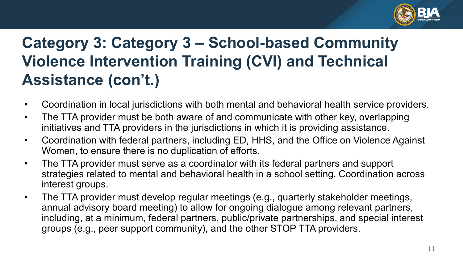

### **Category 3: Category 3 – School-based Community Violence Intervention Training (CVI) and Technical Assistance (con't.)**

- Coordination in local jurisdictions with both mental and behavioral health service providers.
- The TTA provider must be both aware of and communicate with other key, overlapping initiatives and TTA providers in the jurisdictions in which it is providing assistance.
- Coordination with federal partners, including ED, HHS, and the Office on Violence Against Women, to ensure there is no duplication of efforts.
- The TTA provider must serve as a coordinator with its federal partners and support strategies related to mental and behavioral health in a school setting. Coordination across interest groups.
- The TTA provider must develop regular meetings (e.g., quarterly stakeholder meetings, annual advisory board meeting) to allow for ongoing dialogue among relevant partners, including, at a minimum, federal partners, public/private partnerships, and special interest groups (e.g., peer support community), and the other STOP TTA providers.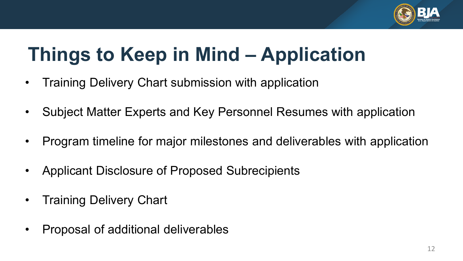

# **Things to Keep in Mind – Application**

- Training Delivery Chart submission with application
- Subject Matter Experts and Key Personnel Resumes with application
- Program timeline for major milestones and deliverables with application
- Applicant Disclosure of Proposed Subrecipients
- Training Delivery Chart
- Proposal of additional deliverables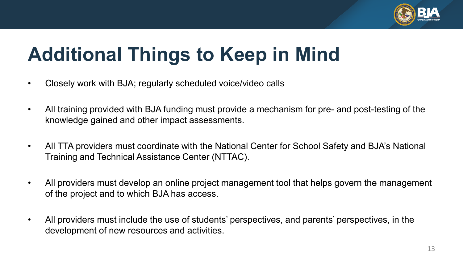

# **Additional Things to Keep in Mind**

- Closely work with BJA; regularly scheduled voice/video calls
- All training provided with BJA funding must provide a mechanism for pre- and post-testing of the knowledge gained and other impact assessments.
- All TTA providers must coordinate with the National Center for School Safety and BJA's National Training and Technical Assistance Center (NTTAC).
- All providers must develop an online project management tool that helps govern the management of the project and to which BJA has access.
- All providers must include the use of students' perspectives, and parents' perspectives, in the development of new resources and activities.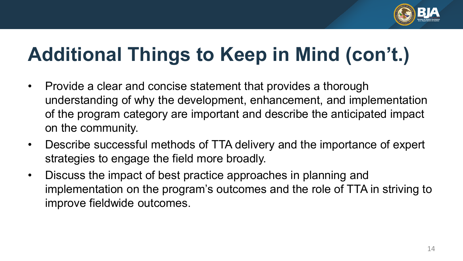

# **Additional Things to Keep in Mind (con't.)**

- Provide a clear and concise statement that provides a thorough understanding of why the development, enhancement, and implementation of the program category are important and describe the anticipated impact on the community.
- Describe successful methods of TTA delivery and the importance of expert strategies to engage the field more broadly.
- Discuss the impact of best practice approaches in planning and implementation on the program's outcomes and the role of TTA in striving to improve fieldwide outcomes.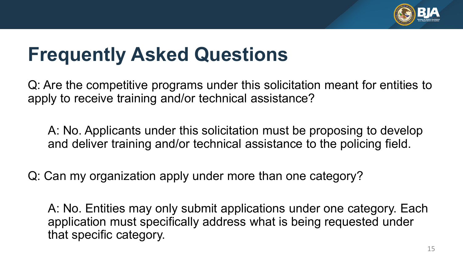

## **Frequently Asked Questions**

Q: Are the competitive programs under this solicitation meant for entities to apply to receive training and/or technical assistance?

A: No. Applicants under this solicitation must be proposing to develop and deliver training and/or technical assistance to the policing field.

Q: Can my organization apply under more than one category?

A: No. Entities may only submit applications under one category. Each application must specifically address what is being requested under that specific category.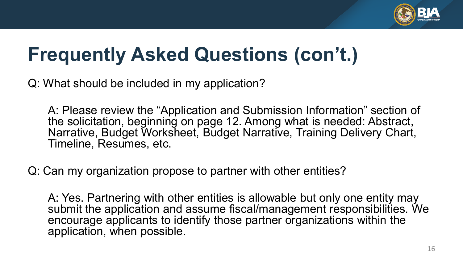

## **Frequently Asked Questions (con't.)**

Q: What should be included in my application?

A: Please review the "Application and Submission Information" section of the solicitation, beginning on page 12. Among what is needed: Abstract, Narrative, Budget Worksheet, Budget Narrative, Training Delivery Chart, Timeline, Resumes, etc.

Q: Can my organization propose to partner with other entities?

A: Yes. Partnering with other entities is allowable but only one entity may submit the application and assume fiscal/management responsibilities. We encourage applicants to identify those partner organizations within the application, when possible.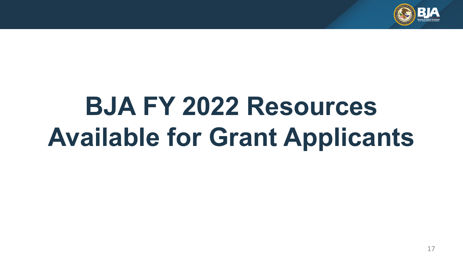

# **BJA FY 2022 Resources Available for Grant Applicants**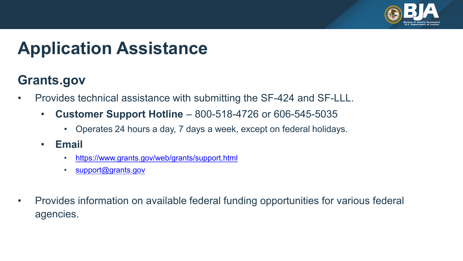

## **Application Assistance**

#### **Grants.gov**

- Provides technical assistance with submitting the SF-424 and SF-LLL.
	- **Customer Support Hotline**  800-518-4726 or 606-545-5035
		- Operates 24 hours a day, 7 days a week, except on federal holidays.
	- **Email** 
		- <https://www.grants.gov/web/grants/support.html>
		- [support@grants.gov](mailto:support@grants.gov)
- Provides information on available federal funding opportunities for various federal agencies.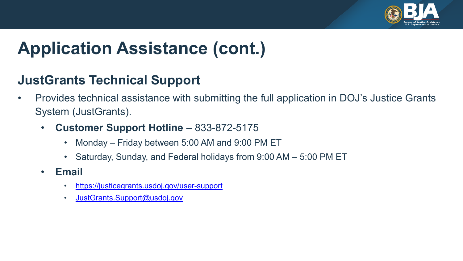

## **Application Assistance (cont.)**

#### **JustGrants Technical Support**

- Provides technical assistance with submitting the full application in DOJ's Justice Grants System (JustGrants).
	- **Customer Support Hotline**  833-872-5175
		- Monday Friday between 5:00 AM and 9:00 PM ET
		- Saturday, Sunday, and Federal holidays from 9:00 AM 5:00 PM ET
	- **Email** 
		- https://justicegrants.usdoj.gov/user-support
		- JustGrants.Support@usdoj.gov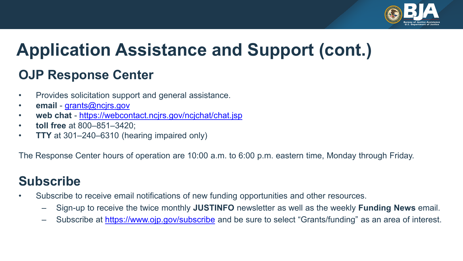

## **Application Assistance and Support (cont.)**

#### **OJP Response Center**

- Provides solicitation support and general assistance.
- **email** [grants@ncjrs.gov](mailto:grants@ncjrs.gov)
- **web chat**  <https://webcontact.ncjrs.gov/ncjchat/chat.jsp>
- **toll free** at 800–851–3420;
- **TTY** at 301–240–6310 (hearing impaired only)

The Response Center hours of operation are 10:00 a.m. to 6:00 p.m. eastern time, Monday through Friday.

#### **Subscribe**

- Subscribe to receive email notifications of new funding opportunities and other resources.
	- Sign-up to receive the twice monthly **JUSTINFO** newsletter as well as the weekly **Funding News** email.
	- Subscribe at<https://www.ojp.gov/subscribe> and be sure to select "Grants/funding" as an area of interest.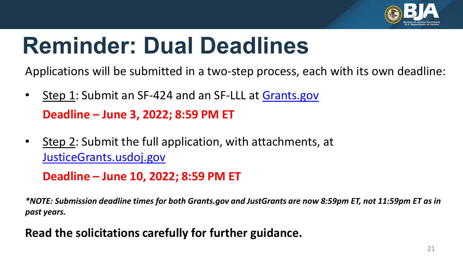

# **Reminder: Dual Deadlines**

Applications will be submitted in a two-step process, each with its own deadline:

- Step 1: Submit an SF-424 and an SF-LLL at [Grants.gov](https://www.grants.gov/) **Deadline – June 3, 2022; 8:59 PM ET**
- Step 2: Submit the full application, with attachments, at [JusticeGrants.usdoj.gov](https://justicegrants.usdoj.gov/)

**Deadline – June 10, 2022; 8:59 PM ET**

*\*NOTE: Submission deadline times for both Grants.gov and JustGrants are now 8:59pm ET, not 11:59pm ET as in past years.* 

**Read the solicitations carefully for further guidance.**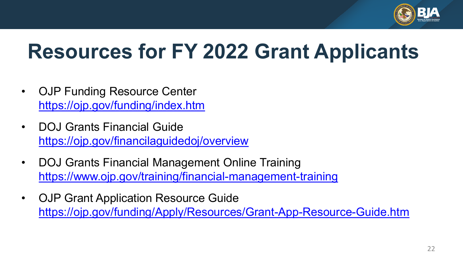

# **Resources for FY 2022 Grant Applicants**

- OJP Funding Resource Center <https://ojp.gov/funding/index.htm>
- DOJ Grants Financial Guide <https://ojp.gov/financilaguidedoj/overview>
- DOJ Grants Financial Management Online Training <https://www.ojp.gov/training/financial-management-training>
- OJP Grant Application Resource Guide <https://ojp.gov/funding/Apply/Resources/Grant-App-Resource-Guide.htm>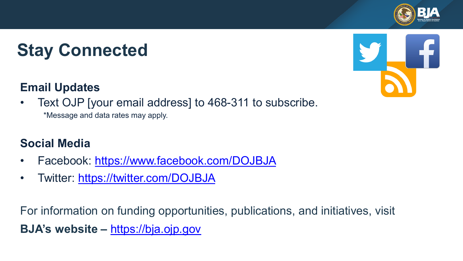## **Stay Connected**

#### **Email Updates**

• Text OJP [your email address] to 468-311 to subscribe. \*Message and data rates may apply.

#### **Social Media**

- Facebook: <https://www.facebook.com/DOJBJA>
- Twitter: <https://twitter.com/DOJBJA>

For information on funding opportunities, publications, and initiatives, visit **BJA's website –** [https://bja.ojp.gov](https://bja.ojp.gov/)



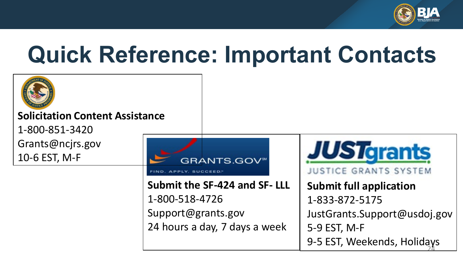

# **Quick Reference: Important Contacts**